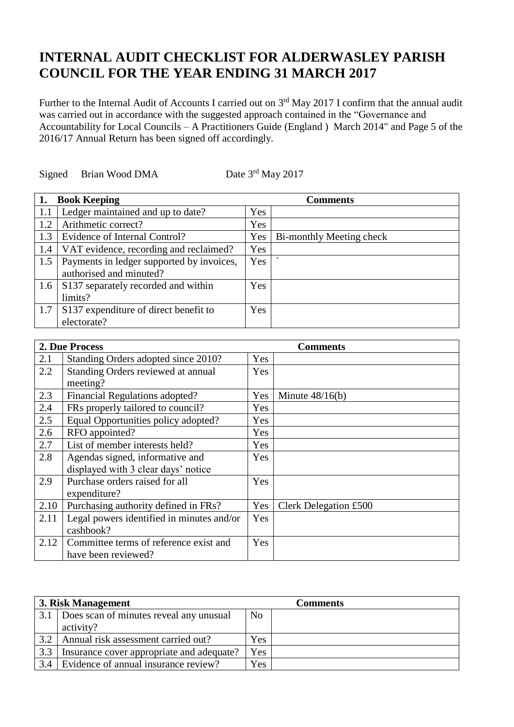## **INTERNAL AUDIT CHECKLIST FOR ALDERWASLEY PARISH COUNCIL FOR THE YEAR ENDING 31 MARCH 2017**

Further to the Internal Audit of Accounts I carried out on 3<sup>rd</sup> May 2017 I confirm that the annual audit was carried out in accordance with the suggested approach contained in the "Governance and Accountability for Local Councils – A Practitioners Guide (England ) March 2014" and Page 5 of the 2016/17 Annual Return has been signed off accordingly.

Signed Brian Wood DMA

Date 3<sup>rd</sup> May 2017

| 1.                | <b>Book Keeping</b>                       |            | <b>Comments</b>          |
|-------------------|-------------------------------------------|------------|--------------------------|
| 1.1               | Ledger maintained and up to date?         | Yes        |                          |
| 1.2               | Arithmetic correct?                       | <b>Yes</b> |                          |
| 1.3               | Evidence of Internal Control?             | <b>Yes</b> | Bi-monthly Meeting check |
| 1.4               | VAT evidence, recording and reclaimed?    | Yes        |                          |
| 1.5               | Payments in ledger supported by invoices, | Yes        |                          |
|                   | authorised and minuted?                   |            |                          |
| 1.6               | S137 separately recorded and within       | <b>Yes</b> |                          |
|                   | limits?                                   |            |                          |
| $\vert 1.7 \vert$ | S137 expenditure of direct benefit to     | <b>Yes</b> |                          |
|                   | electorate?                               |            |                          |

| 2. Due Process |                                           |            | <b>Comments</b>       |
|----------------|-------------------------------------------|------------|-----------------------|
| 2.1            | Standing Orders adopted since 2010?       | Yes        |                       |
| 2.2            | Standing Orders reviewed at annual        | Yes        |                       |
|                | meeting?                                  |            |                       |
| 2.3            | Financial Regulations adopted?            | Yes        | Minute $48/16(b)$     |
| 2.4            | FRs properly tailored to council?         | Yes        |                       |
| 2.5            | Equal Opportunities policy adopted?       | Yes        |                       |
| 2.6            | RFO appointed?                            | Yes        |                       |
| 2.7            | List of member interests held?            | <b>Yes</b> |                       |
| 2.8            | Agendas signed, informative and           | <b>Yes</b> |                       |
|                | displayed with 3 clear days' notice       |            |                       |
| 2.9            | Purchase orders raised for all            | Yes        |                       |
|                | expenditure?                              |            |                       |
| 2.10           | Purchasing authority defined in FRs?      | Yes        | Clerk Delegation £500 |
| 2.11           | Legal powers identified in minutes and/or | Yes        |                       |
|                | cashbook?                                 |            |                       |
| 2.12           | Committee terms of reference exist and    | Yes        |                       |
|                | have been reviewed?                       |            |                       |

|     | 3. Risk Management                        |                | <b>Comments</b> |
|-----|-------------------------------------------|----------------|-----------------|
| 3.1 | Does scan of minutes reveal any unusual   | N <sub>o</sub> |                 |
|     | activity?                                 |                |                 |
| 3.2 | Annual risk assessment carried out?       | Yes            |                 |
| 3.3 | Insurance cover appropriate and adequate? | <b>Yes</b>     |                 |
| 3.4 | Evidence of annual insurance review?      | Yes            |                 |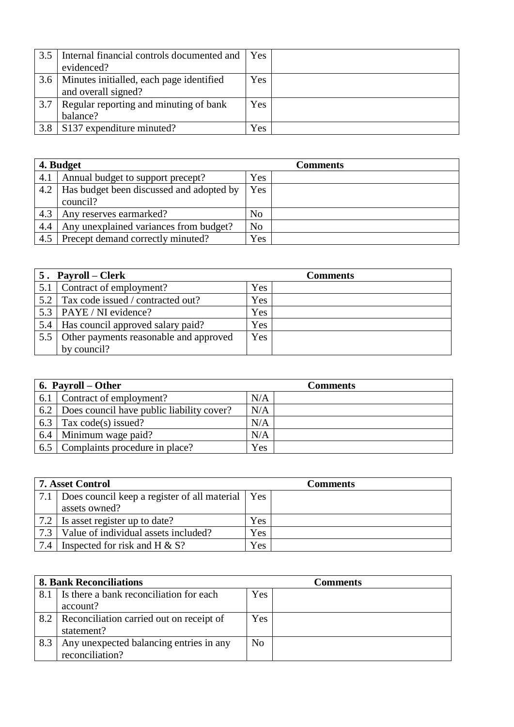| 3.5 | Internal financial controls documented and | Yes. |  |
|-----|--------------------------------------------|------|--|
|     | evidenced?                                 |      |  |
| 3.6 | Minutes initialled, each page identified   | Yes  |  |
|     | and overall signed?                        |      |  |
| 3.7 | Regular reporting and minuting of bank     | Yes  |  |
|     | balance?                                   |      |  |
| 3.8 | S137 expenditure minuted?                  | Yes  |  |

| 4. Budget |                                          |                | <b>Comments</b> |
|-----------|------------------------------------------|----------------|-----------------|
| 4.1       | Annual budget to support precept?        | <b>Yes</b>     |                 |
| 4.2       | Has budget been discussed and adopted by | Yes            |                 |
|           | council?                                 |                |                 |
| 4.3       | Any reserves earmarked?                  | N <sub>o</sub> |                 |
| 4.4       | Any unexplained variances from budget?   | N <sub>o</sub> |                 |
| 4.5       | Precept demand correctly minuted?        | <b>Yes</b>     |                 |

|     | 5. Payroll – Clerk                         |     | <b>Comments</b> |
|-----|--------------------------------------------|-----|-----------------|
|     | Contract of employment?                    | Yes |                 |
| 5.2 | Tax code issued / contracted out?          | Yes |                 |
|     | 5.3   PAYE / NI evidence?                  | Yes |                 |
| 5.4 | Has council approved salary paid?          | Yes |                 |
|     | 5.5 Other payments reasonable and approved | Yes |                 |
|     | by council?                                |     |                 |

|     | 6. Payroll – Other                        | <b>Comments</b> |  |
|-----|-------------------------------------------|-----------------|--|
| 6.1 | Contract of employment?                   | N/A             |  |
| 6.2 | Does council have public liability cover? | N/A             |  |
| 6.3 | Tax code(s) issued?                       | N/A             |  |
| 6.4 | Minimum wage paid?                        | N/A             |  |
|     | 6.5 Complaints procedure in place?        | Yes             |  |

|     | <b>7. Asset Control</b>                            |            | <b>Comments</b> |
|-----|----------------------------------------------------|------------|-----------------|
| 7.1 | Does council keep a register of all material   Yes |            |                 |
|     | assets owned?                                      |            |                 |
| 7.2 | Is asset register up to date?                      | <b>Yes</b> |                 |
| 7.3 | Value of individual assets included?               | Yes        |                 |
| 7.4 | Inspected for risk and H $\&$ S?                   | Yes        |                 |

| <b>8. Bank Reconciliations</b> |                                          | Comments       |  |
|--------------------------------|------------------------------------------|----------------|--|
| 8.1                            | Is there a bank reconciliation for each  | Yes            |  |
|                                | account?                                 |                |  |
| 8.2                            | Reconciliation carried out on receipt of | Yes            |  |
|                                | statement?                               |                |  |
| 8.3                            | Any unexpected balancing entries in any  | N <sub>o</sub> |  |
|                                | reconciliation?                          |                |  |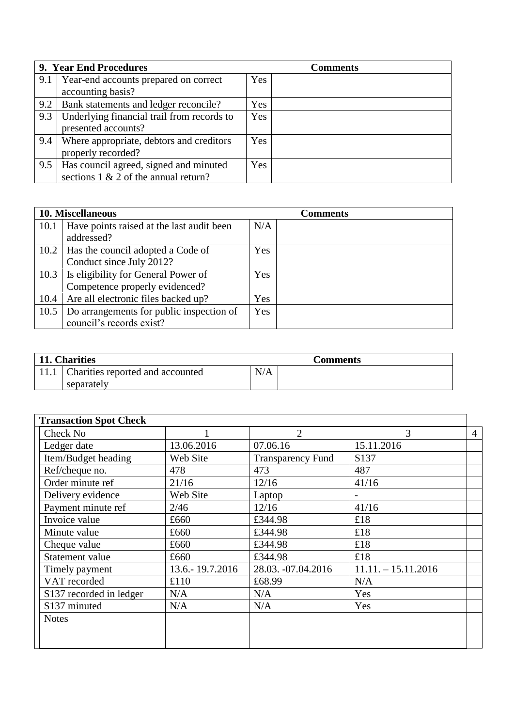|     | 9. Year End Procedures                     |     | <b>Comments</b> |
|-----|--------------------------------------------|-----|-----------------|
| 9.1 | Year-end accounts prepared on correct      | Yes |                 |
|     | accounting basis?                          |     |                 |
| 9.2 | Bank statements and ledger reconcile?      | Yes |                 |
| 9.3 | Underlying financial trail from records to | Yes |                 |
|     | presented accounts?                        |     |                 |
| 9.4 | Where appropriate, debtors and creditors   | Yes |                 |
|     | properly recorded?                         |     |                 |
| 9.5 | Has council agreed, signed and minuted     | Yes |                 |
|     | sections $1 \& 2$ of the annual return?    |     |                 |

|      | 10. Miscellaneous                         |     | <b>Comments</b> |
|------|-------------------------------------------|-----|-----------------|
| 10.1 | Have points raised at the last audit been | N/A |                 |
|      | addressed?                                |     |                 |
|      | 10.2   Has the council adopted a Code of  | Yes |                 |
|      | Conduct since July 2012?                  |     |                 |
| 10.3 | Is eligibility for General Power of       | Yes |                 |
|      | Competence properly evidenced?            |     |                 |
| 10.4 | Are all electronic files backed up?       | Yes |                 |
| 10.5 | Do arrangements for public inspection of  | Yes |                 |
|      | council's records exist?                  |     |                 |

| 11. Charities                           |     | <b>Comments</b> |
|-----------------------------------------|-----|-----------------|
| 11.1   Charities reported and accounted | N/A |                 |
| separately                              |     |                 |

| <b>Transaction Spot Check</b> |                   |                          |                       |                |
|-------------------------------|-------------------|--------------------------|-----------------------|----------------|
| Check No                      |                   | 2                        | 3                     | $\overline{4}$ |
| Ledger date                   | 13.06.2016        | 07.06.16                 | 15.11.2016            |                |
| Item/Budget heading           | Web Site          | <b>Transparency Fund</b> | S <sub>137</sub>      |                |
| Ref/cheque no.                | 478               | 473                      | 487                   |                |
| Order minute ref              | 21/16             | 12/16                    | 41/16                 |                |
| Delivery evidence             | Web Site          | Laptop                   |                       |                |
| Payment minute ref            | 2/46              | 12/16                    | 41/16                 |                |
| Invoice value                 | £660              | £344.98                  | £18                   |                |
| Minute value                  | £660              | £344.98                  | £18                   |                |
| Cheque value                  | £660              | £344.98                  | £18                   |                |
| Statement value               | £660              | £344.98                  | £18                   |                |
| Timely payment                | 13.6. - 19.7.2016 | 28.03. -07.04.2016       | $11.11. - 15.11.2016$ |                |
| VAT recorded                  | £110              | £68.99                   | N/A                   |                |
| S137 recorded in ledger       | N/A               | N/A                      | Yes                   |                |
| S137 minuted                  | N/A               | N/A                      | Yes                   |                |
| <b>Notes</b>                  |                   |                          |                       |                |
|                               |                   |                          |                       |                |
|                               |                   |                          |                       |                |